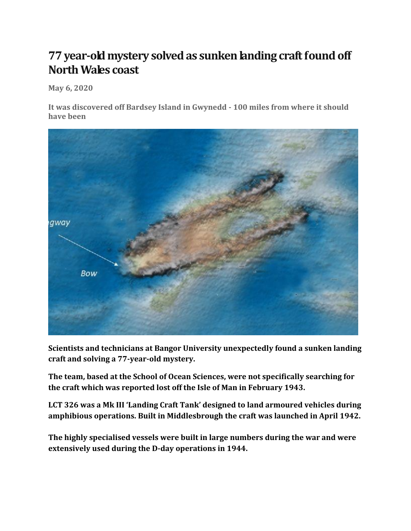## **77 year-old mystery solved as sunken landing craft found off North Wales coast**

**May 6, 2020**

**It was discovered off Bardsey Island in Gwynedd - 100 miles from where it should have been**



**Scientists and technicians at Bangor University unexpectedly found a sunken landing craft and solving a 77-year-old mystery.**

**The team, based at the School of Ocean Sciences, were not specifically searching for the craft which was reported lost off the Isle of Man in February 1943.**

**LCT 326 was a Mk III 'Landing Craft Tank' designed to land armoured vehicles during amphibious operations. Built in Middlesbrough the craft was launched in April 1942.**

**The highly specialised vessels were built in large numbers during the war and were extensively used during the D-day operations in 1944.**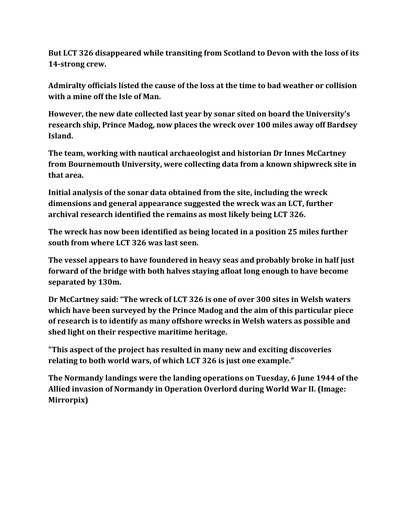**But LCT 326 disappeared while transiting from Scotland to Devon with the loss of its 14-strong crew.**

**Admiralty officials listed the cause of the loss at the time to bad weather or collision with a mine off the Isle of Man.**

**However, the new date collected last year by sonar sited on board the University's research ship, Prince Madog, now places the wreck over 100 miles away off Bardsey Island.**

**The team, working with nautical archaeologist and historian Dr Innes McCartney from Bournemouth University, were collecting data from a known shipwreck site in that area.**

**Initial analysis of the sonar data obtained from the site, including the wreck dimensions and general appearance suggested the wreck was an LCT, further archival research identified the remains as most likely being LCT 326.**

**The wreck has now been identified as being located in a position 25 miles further south from where LCT 326 was last seen.**

**The vessel appears to have foundered in heavy seas and probably broke in half just forward of the bridge with both halves staying afloat long enough to have become separated by 130m.**

**Dr McCartney said: "The wreck of LCT 326 is one of over 300 sites in Welsh waters which have been surveyed by the Prince Madog and the aim of this particular piece of research is to identify as many offshore wrecks in Welsh waters as possible and shed light on their respective maritime heritage.**

**"This aspect of the project has resulted in many new and exciting discoveries relating to both world wars, of which LCT 326 is just one example."**

**The Normandy landings were the landing operations on Tuesday, 6 June 1944 of the Allied invasion of Normandy in Operation Overlord during World War II. (Image: Mirrorpix)**